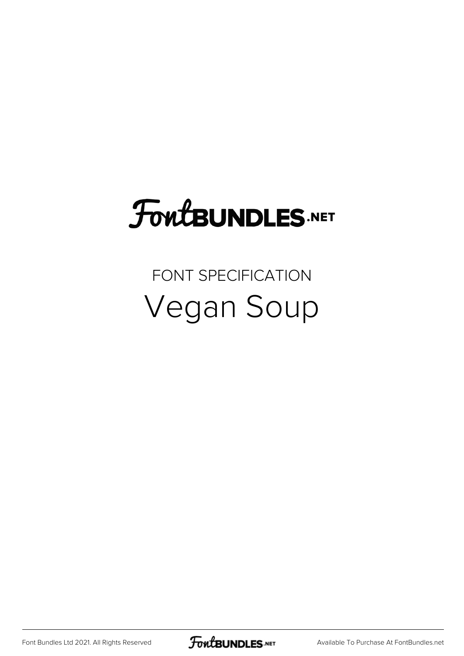## **FoutBUNDLES.NET**

#### FONT SPECIFICATION Vegan Soup

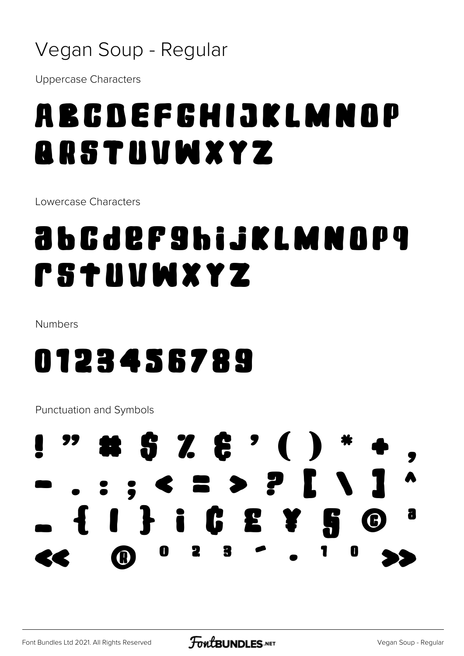#### Vegan Soup - Regular

**Uppercase Characters** 

### ABCDEFCHIJKLMNOP **ARSTUVWXYZ**

Lowercase Characters

### <u>abcdefshijklmnop</u>g **rstuvwxyz**

Numbers

#### 0123456789

**Punctuation and Symbols** 

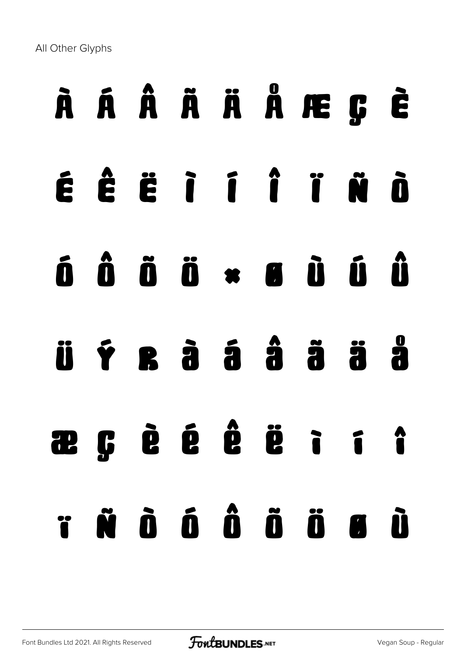All Other Glyphs

# À Á Â Ã Ä Å Æ Ç È

- É Ê Ë Ì Í Î Ï Ñ Ò
- Ó Ô Õ Ö × Ø Ù Ú Û
- Ü Ý ß à á â ã ä å
- æ ç è é ê ë ì í î ï ñ ò ó ô õ ö ø ù